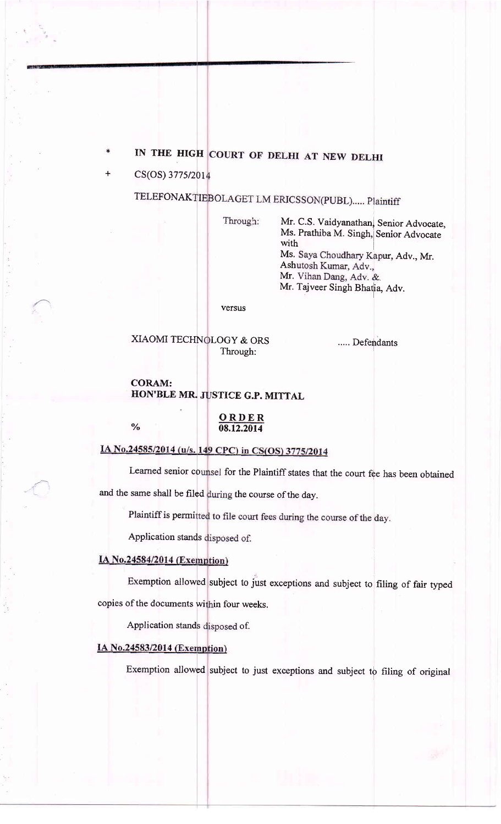# IN THE HIGH COURT OF DELHI AT NEW DELHI

CS(OS) 3775/2014

TELEFONAKTIEBOLAGET LM ERICSSON(PUBL) ..... Plaintiff

Through:

Mr. C.S. Vaidyanathan, Senior Advocate, Ms. Prathiba M. Singh, Senior Advocate with Ms. Saya Choudhary Kapur, Adv., Mr. Ashutosh Kumar, Adv., Mr. Vihan Dang, Adv. & Mr. Tajveer Singh Bhatia, Adv.

versus

XIAOMI TECHN LOGY & ORS Through:

..... Defendants

#### CORAM: HON'BLE MR. JUSTICE G.P. MITTAL

 $\frac{0}{0}$ 

ORDER 08.12.20t4

## IA No.24585/2014 (u/s. 149 CPC) in CS(OS) 3775/2014

Learned senior counsel for the Plaintiff states that the court fee has been obtained and the same shall be filed during the course of the day.

Plaintiff is permitted to file court fees during the course of the day.

Application stands disposed of.

## IA No.24584/2014 (Exemption)

Exemption allowed subject to just exceptions and subjeet to filing of fair typed copies of the documents within four weeks.

Application stands disposed of.

#### IA No.24583/2014 (Exemption)

Exemption allowed subject to just exceptions and subject to filing of original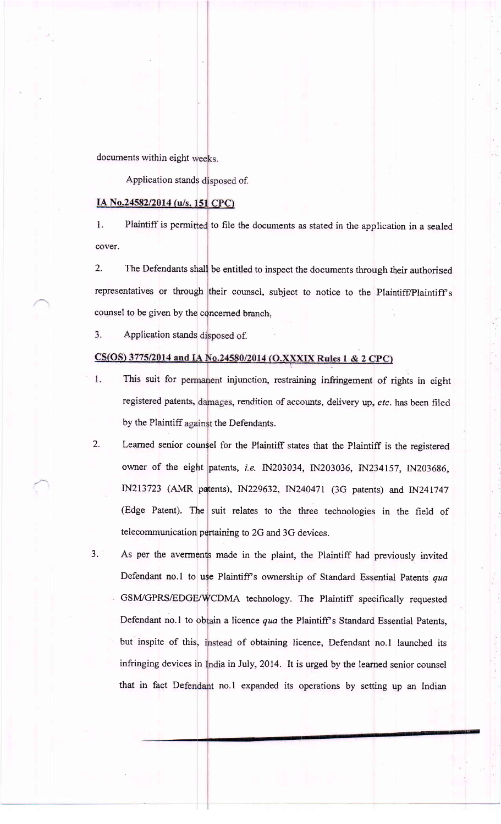documents within eight weeks.

Application stands disposed of.

#### IA No.24582/2014 (u/s. 151 CPC)

Plaintiff is permitted to file the documents as stated in the application in a sealed l. cover.

2, The Defendants shall be entitled to inspect the documents through their authorised representatives or through their counsel, subject to notice to the Plaintiff/Plaintiff's counsel to be given by the concerned branch.

3. Application stands disposed of.

### CS(OS) 3775/2014 and IA No.24580/2014 (O.XXXIX Rules 1 & 2 CPC)

- This suit for permanent injunction, restraining infringement of rights in eight 1. registered patents, damages, rendition of accounts, delivery up, etc. has been filed by the Plaintiff against the Defendants.
- 2. Learned senior counsel for the Plaintiff states that the Plaintiff is the registered owner of the eight patents, i.e. IN203034, IN203036, IN234157, IN203686, IN213723 (AMR patents), IN229632, IN240471 (3G patents) and IN241747 (Edge Patent). The suit relates to the three technologies in the field of telecommunication pertaining to 2G and 3G devices.
- As per the averments made in the plaint, the Plaintiff had previously invited Defendant no.1 to use Plaintiff's ownership of Standard Essential Patents qua GSM/GPRS/EDGE/WCDMA technology. The Plaintiff specifically requested J. Defendant no.1 to obtain a licence qua the Plaintiff's Standard Essential Patents, but inspite of this, instead of obtaining licence, Defendant no.1 launched its infringing devices in India in July, 2014. It is urged by the learned senior counsel that in fact Defendant no.1 expanded its operations by setting up an Indian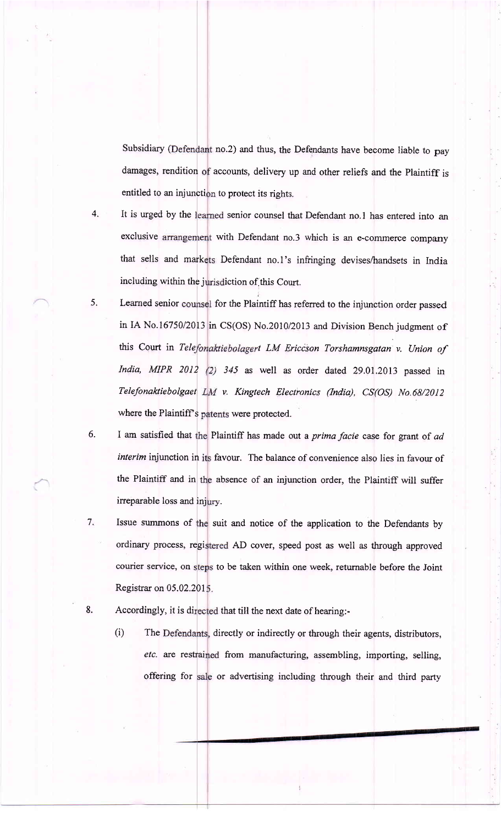Subsidiary (Defendant no.2) and thus, the Defendants have become liable to pay damages, rendition of accounts, delivery up and other reliefs and the Plaintiff is entitled to an injunction to protect its rights.

- 4. It is urged by the learned senior counsel that Defendant no.1 has entered into an exclusive arrangement with Defendant no.3 which is an e-commerce company that sells and mark Defendant no.l's infringing devises/handsets in India including within the jurisdiction of this Court.
- 5. Learned senior counsel for the Plaintiff has referred to the injunction order passed in IA No.16750/2013 in CS(OS) No.2010/2013 and Division Bench judgment of this Court in Telefonaktiebolagert LM Ericcson Torshamnsgatan v. Union of India, MIPR 2012 (2) 345 as well as order dated 29.01.2013 passed in Telefonaktiebolgaet LM v. Kingtech Electronics (India), CS(OS) No.68/2012 where the Plaintiff's patents were protected.
- 6. I am satisfied that the Plaintiff has made out a *prima facie* case for grant of ad interim injunction in favour. The balance of convenience also lies in favour of the Plaintiff and in the absence of an injunction order, the Plaintiff will suffer irreparable loss and inj
- 7. Issue summons of the suit and notice of the application to the Defendants by ordinary process, registered AD cover, speed post as well as through approved courier service, on steps to be taken within one week, returnable before the Joint Registrar on 05.02.201
- 8. Accordingly, it is directed that till the next date of hearing:
	- (i) The Defendants, directly or indirectly or through their agents, distributors etc. are restrained from manufacturing, assembling, importing, selling, offering for sale or advertising including through their and third party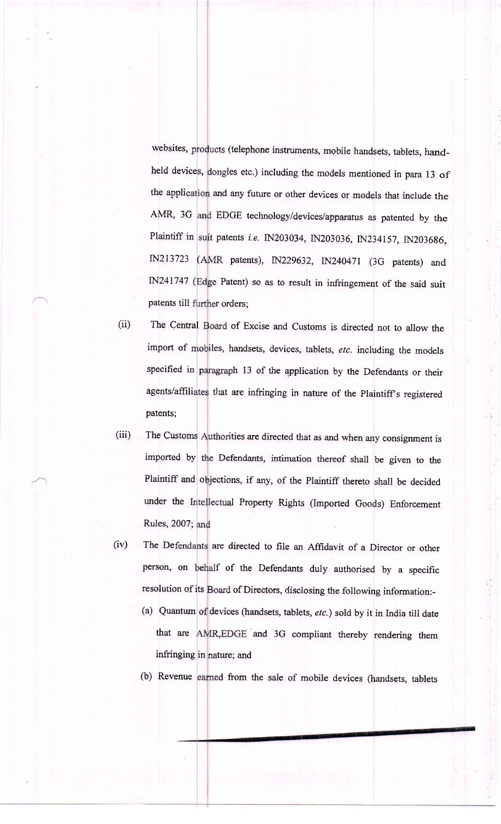websites, products (telephone instruments, mobile handsets, tablets, handthe application and any future or other devices or models that include the patents till further orders; held devices, dongles etc.) including the models mentioned in para 13 of AMR, 3G and EDGE technology/devices/apparatus as patented by the Plaintiff in suit patents *i.e*. IN203034, IN203036, IN234157, IN203686, IN213723 (AMR patents), IN229632, IN240471 (3G patents) and IN241747 (Edge Patent) so as to result in infringement of the said suit

- (ii) import of mobiles, handsets, devices, tablets, etc. including the models agents/affiliates that are infringing in nature of the Plaintiff's registered patents; The Central Board of Excise and Customs is directed not to allow the specified in paragraph 13 of the application by the Defendants or their
- (iii) under the Intellectual Property Rights (Imported Goods) Enforcement Rules, 2007; and The Customs Authorities are directed that as and when any consignment is imported by Defendants, intimation thereof shall be given to the Plaintiff and objections, if any, of the Plaintiff thereto shall be decided
- (iv) The Defendants are directed to file an Affidavit of a Director or other person, on behalf of the Defendants duly authorised by a specific resolution of its Board of Directors, disclosing the following information:-
	- (a) Quantum of devices (handsets, tablets,  $etc.$  ) sold by it in India till date that are AMR, EDGE and 3G compliant thereby rendering them infringing in nature; and
	- (b) Revenue earned from the sale of mobile devices (handsets, tablets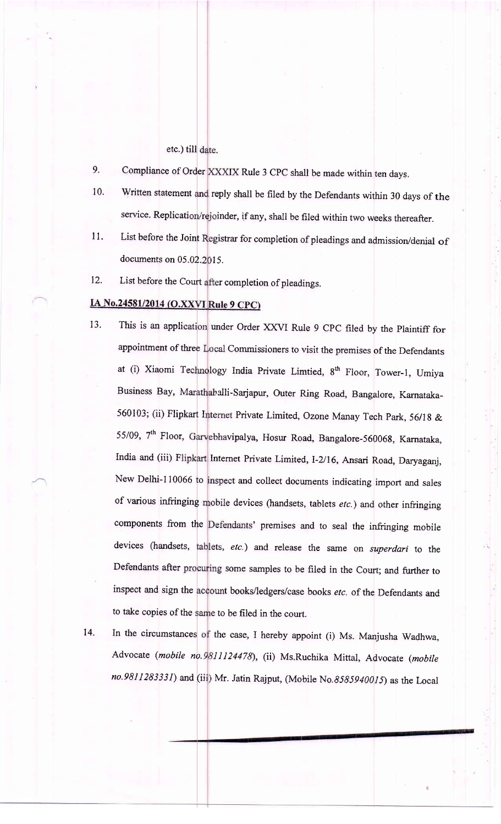### etc.) till

- 9. Compliance of Order XXXIX Rule 3 CPC shall be made within ten days.
- 10. Written statement and reply shall be filed by the Defendants within 30 days of the service. Replication/rejoinder, if any, shall be filed within two weeks thereafter.
- 11. documents on 05.02.2015. List before the Joint Registrar for completion of pleadings and admission/denial of
- t2. List before the Court after completion of pleadings.

## IA No.24581/2014 (O.XXVI Rule 9 CPC)

- 13. This is an application under Order XXVI Rule 9 CPC filed by the Plaintiff for appointment of three Local Commissioners to visit the premises of the Defendants at (i) Xiaomi Technology India Private Limtied, 8<sup>th</sup> Floor, Tower-1, Umiya Business Bay, Marathahalli-Sarjapur, Outer Ring Road, Bangalore, Karnataka-560103; (ii) Flipkart Internet Private Limited, Ozone Manay Tech Park, 56/18 & 55/09, 7<sup>th</sup> Floor, Garvebhavipalya, Hosur Road, Bangalore-560068, Karnataka, India and (iii) Flipkart Internet Private Limited, I-2/16, Ansari Road, Daryaganj, New Delhi-110066 to inspect and collect documents indicating import and sales of various infringing mobile devices (handsets, tablets etc.) and other infringing components from the Defendants' premises and to seal the infringing mobile devices (handsets, tablets, etc.) and release the same on superdari to the Defendants after procuring some samples to be filed in the Court; and further to inspect and sign the account books/ledgers/case books *etc*. of the Defendants and to take copies of the same to be filed in the court.
- 14. In the circumstances of the case, I hereby appoint (i) Ms. Manjusha Wadhwa, Advocate (mobile no.9811124478), (ii) Ms.Ruchika Mittal, Advocate (mobile no.9811283331) and (iii) Mr. Jatin Rajput, (Mobile No.8585940015) as the Local